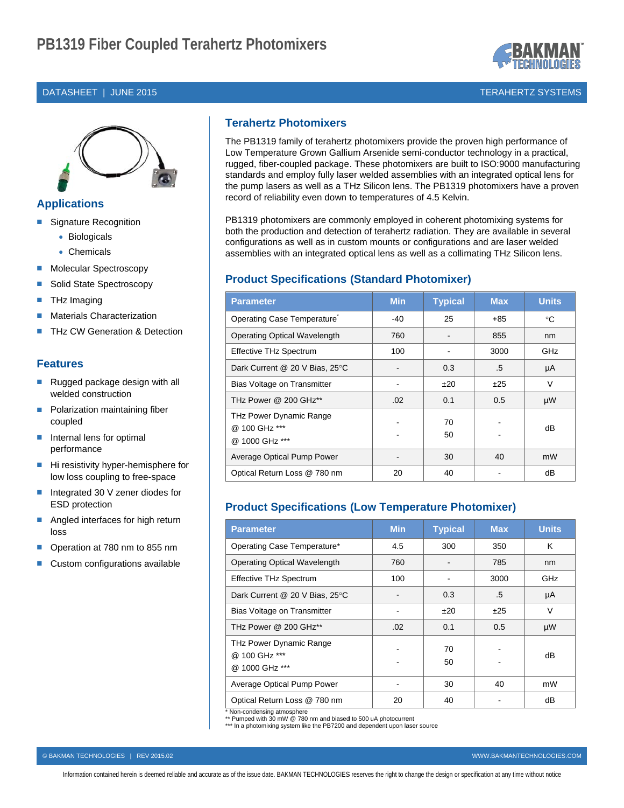#### DATASHEET | JUNE 2015



## **Applications**

- Signature Recognition
	- Biologicals
	- Chemicals
- **Molecular Spectroscopy** п
- Solid State Spectroscopy ×
- THz Imaging п
- **Materials Characterization** п
- THz CW Generation & Detection

### **Features**

- Rugged package design with all  $\overline{\phantom{a}}$ welded construction
- Polarization maintaining fiber × coupled
- Internal lens for optimal performance
- Hi resistivity hyper-hemisphere for ×, low loss coupling to free-space
- $\overline{\phantom{a}}$ Integrated 30 V zener diodes for **ESD** protection
- Angled interfaces for high return п loss
- Operation at 780 nm to 855 nm п
- Custom configurations available

# **Terahertz Photomixers**

The PB1319 family of terahertz photomixers provide the proven high performance of Low Temperature Grown Gallium Arsenide semi-conductor technology in a practical, rugged, fiber-coupled package. These photomixers are built to ISO:9000 manufacturing standards and employ fully laser welded assemblies with an integrated optical lens for the pump lasers as well as a THz Silicon lens. The PB1319 photomixers have a proven record of reliability even down to temperatures of 4.5 Kelvin.

PB1319 photomixers are commonly employed in coherent photomixing systems for both the production and detection of terahertz radiation. They are available in several configurations as well as in custom mounts or configurations and are laser welded assemblies with an integrated optical lens as well as a collimating THz Silicon lens.

## **Product Specifications (Standard Photomixer)**

| <b>Parameter</b>                                           | <b>Min</b> | <b>Typical</b> | <b>Max</b> | <b>Units</b> |
|------------------------------------------------------------|------------|----------------|------------|--------------|
| Operating Case Temperature                                 | $-40$      | 25             | $+85$      | °C           |
| <b>Operating Optical Wavelength</b>                        | 760        |                | 855        | nm           |
| <b>Effective THz Spectrum</b>                              | 100        |                | 3000       | GHz          |
| Dark Current @ 20 V Bias, 25°C                             |            | 0.3            | .5         | μA           |
| Bias Voltage on Transmitter                                |            | ±20            | ±25        | V            |
| THz Power @ 200 GHz**                                      | .02        | 0.1            | 0.5        | μW           |
| THz Power Dynamic Range<br>@ 100 GHz ***<br>@ 1000 GHz *** |            | 70<br>50       |            | dB           |
| Average Optical Pump Power                                 |            | 30             | 40         | mW           |
| Optical Return Loss @ 780 nm                               | 20         | 40             |            | dB           |

## **Product Specifications (Low Temperature Photomixer)**

| <b>Parameter</b>                                           | <b>Min</b> | <b>Typical</b> | <b>Max</b> | <b>Units</b> |
|------------------------------------------------------------|------------|----------------|------------|--------------|
| Operating Case Temperature*                                | 4.5        | 300            | 350        | K            |
| <b>Operating Optical Wavelength</b>                        | 760        |                | 785        | nm           |
| <b>Effective THz Spectrum</b>                              | 100        |                | 3000       | GHz          |
| Dark Current @ 20 V Bias, 25°C                             |            | 0.3            | .5         | μA           |
| Bias Voltage on Transmitter                                |            | ±20            | ±25        | V            |
| THz Power @ 200 GHz**                                      | .02        | 0.1            | 0.5        | μW           |
| THz Power Dynamic Range<br>@ 100 GHz ***<br>@ 1000 GHz *** |            | 70<br>50       |            | dB           |
| Average Optical Pump Power                                 |            | 30             | 40         | mW           |
| Optical Return Loss @ 780 nm                               | 20         | 40             |            | dB           |

Non-condensing atmosphere

\*\* Pumped with 30 mW @ 780 nm and biased to 500 uA photocurrent

\*\*\* In a photomixing system like the PB7200 and dependent upon laser source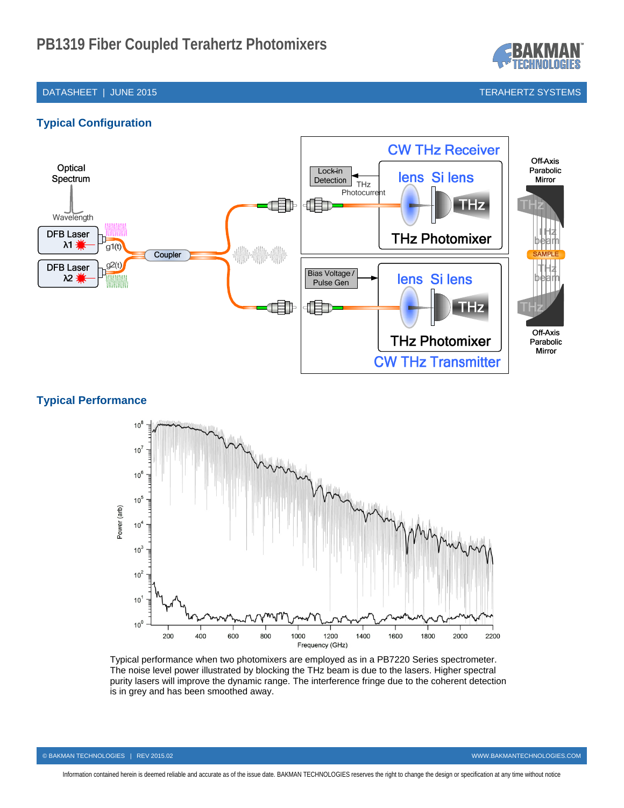

## DATASHEET | JUNE 2015 TERAHERTZ SYSTEMS

# **Typical Configuration**



# **Typical Performance**



Typical performance when two photomixers are employed as in a PB7220 Series spectrometer. The noise level power illustrated by blocking the THz beam is due to the lasers. Higher spectral purity lasers will improve the dynamic range. The interference fringe due to the coherent detection is in grey and has been smoothed away.

Information contained herein is deemed reliable and accurate as of the issue date. BAKMAN TECHNOLOGIES reserves the right to change the design or specification at any time without notice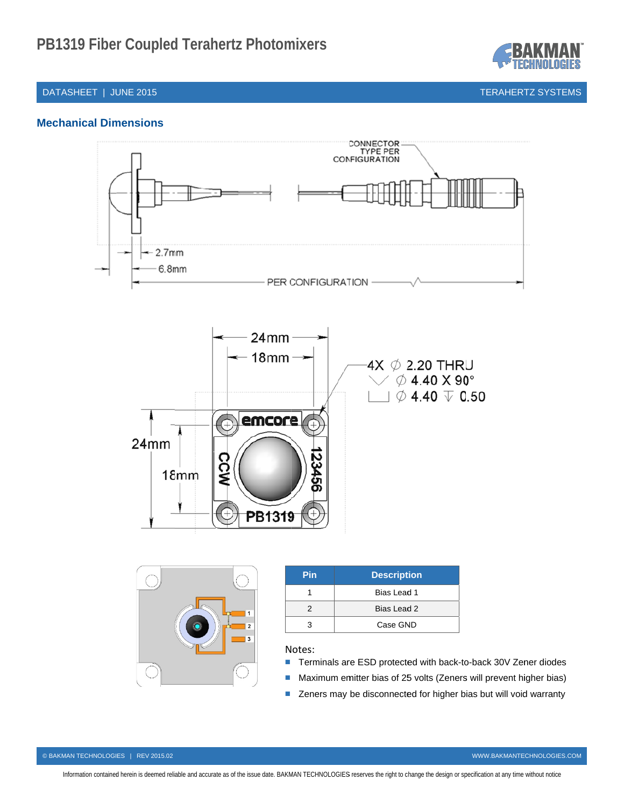

### DATASHEET | JUNE 2015

TERAHERTZ SYSTEMS

## **Mec hanical Dim mensions**





| <b>Pin</b> | <b>Description</b> |
|------------|--------------------|
|            | Bias Lead 1        |
|            | Bias Lead 2        |
|            | Case GND           |

#### N otes:

- Terminals are ESD protected with back-to-back 30V Zener diodes
- Maximum emitter bias of 25 volts (Zeners will prevent higher bias)
- Zeners may be disconnected for higher bias but will void warranty